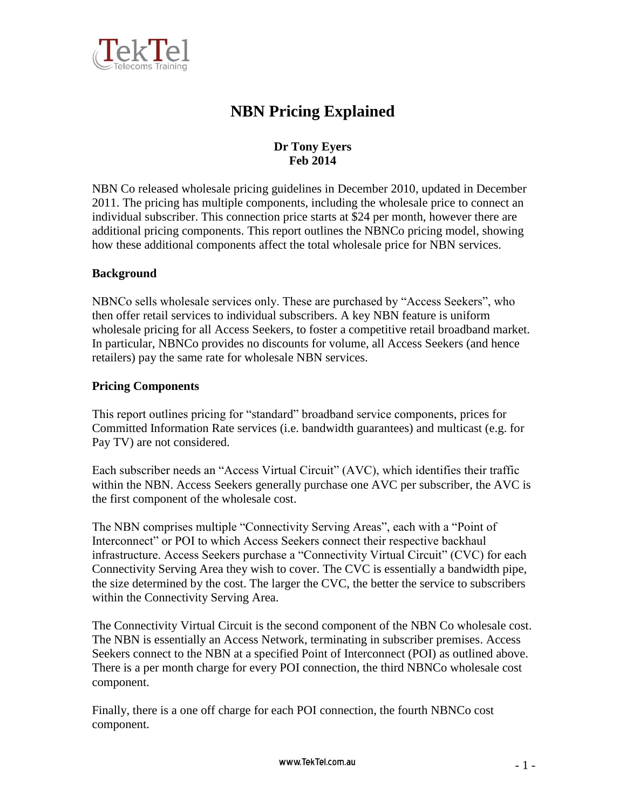

# **NBN Pricing Explained**

## **Dr Tony Eyers Feb 2014**

NBN Co released wholesale pricing guidelines in December 2010, updated in December 2011. The pricing has multiple components, including the wholesale price to connect an individual subscriber. This connection price starts at \$24 per month, however there are additional pricing components. This report outlines the NBNCo pricing model, showing how these additional components affect the total wholesale price for NBN services.

## **Background**

NBNCo sells wholesale services only. These are purchased by "Access Seekers", who then offer retail services to individual subscribers. A key NBN feature is uniform wholesale pricing for all Access Seekers, to foster a competitive retail broadband market. In particular, NBNCo provides no discounts for volume, all Access Seekers (and hence retailers) pay the same rate for wholesale NBN services.

## **Pricing Components**

This report outlines pricing for "standard" broadband service components, prices for Committed Information Rate services (i.e. bandwidth guarantees) and multicast (e.g. for Pay TV) are not considered.

Each subscriber needs an "Access Virtual Circuit" (AVC), which identifies their traffic within the NBN. Access Seekers generally purchase one AVC per subscriber, the AVC is the first component of the wholesale cost.

The NBN comprises multiple "Connectivity Serving Areas", each with a "Point of Interconnect" or POI to which Access Seekers connect their respective backhaul infrastructure. Access Seekers purchase a "Connectivity Virtual Circuit" (CVC) for each Connectivity Serving Area they wish to cover. The CVC is essentially a bandwidth pipe, the size determined by the cost. The larger the CVC, the better the service to subscribers within the Connectivity Serving Area.

The Connectivity Virtual Circuit is the second component of the NBN Co wholesale cost. The NBN is essentially an Access Network, terminating in subscriber premises. Access Seekers connect to the NBN at a specified Point of Interconnect (POI) as outlined above. There is a per month charge for every POI connection, the third NBNCo wholesale cost component.

Finally, there is a one off charge for each POI connection, the fourth NBNCo cost component.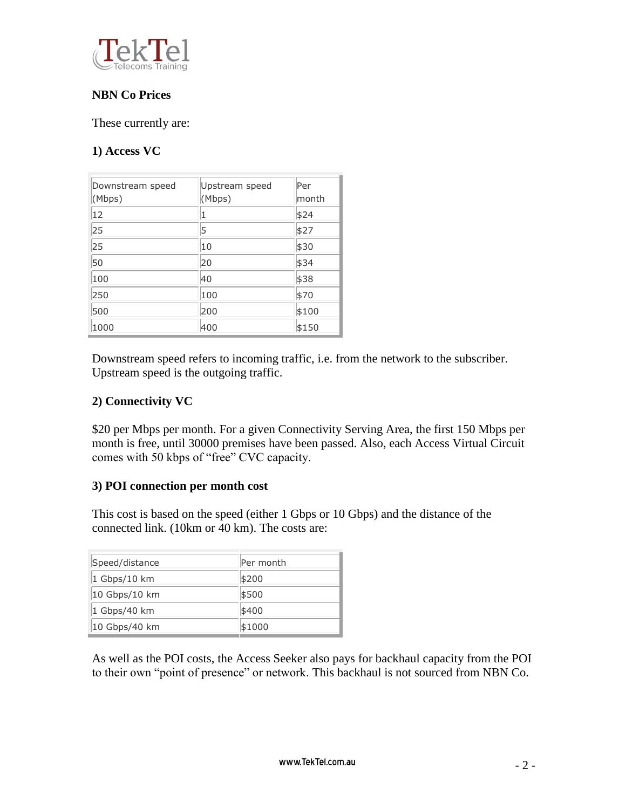

## **NBN Co Prices**

These currently are:

## **1) Access VC**

| Downstream speed<br>(Mbps) | Upstream speed<br>(Mbps) | Per<br> month |
|----------------------------|--------------------------|---------------|
| 12                         | 1                        | \$24          |
| 25                         | 5                        | \$27          |
| 25                         | 10                       | \$30          |
| 50                         | 20                       | \$34          |
| 100                        | 40                       | \$38          |
| 250                        | 100                      | \$70          |
| 500                        | 200                      | \$100         |
| 1000                       | 400                      | \$150         |

Downstream speed refers to incoming traffic, i.e. from the network to the subscriber. Upstream speed is the outgoing traffic.

## **2) Connectivity VC**

\$20 per Mbps per month. For a given Connectivity Serving Area, the first 150 Mbps per month is free, until 30000 premises have been passed. Also, each Access Virtual Circuit comes with 50 kbps of "free" CVC capacity.

### **3) POI connection per month cost**

This cost is based on the speed (either 1 Gbps or 10 Gbps) and the distance of the connected link. (10km or 40 km). The costs are:

| Speed/distance | Per month |
|----------------|-----------|
| 1 Gbps/10 km   | \$200     |
| 10 Gbps/10 km  | \$500     |
| 1 Gbps/40 km   | \$400     |
| 10 Gbps/40 km  | \$1000    |

As well as the POI costs, the Access Seeker also pays for backhaul capacity from the POI to their own "point of presence" or network. This backhaul is not sourced from NBN Co.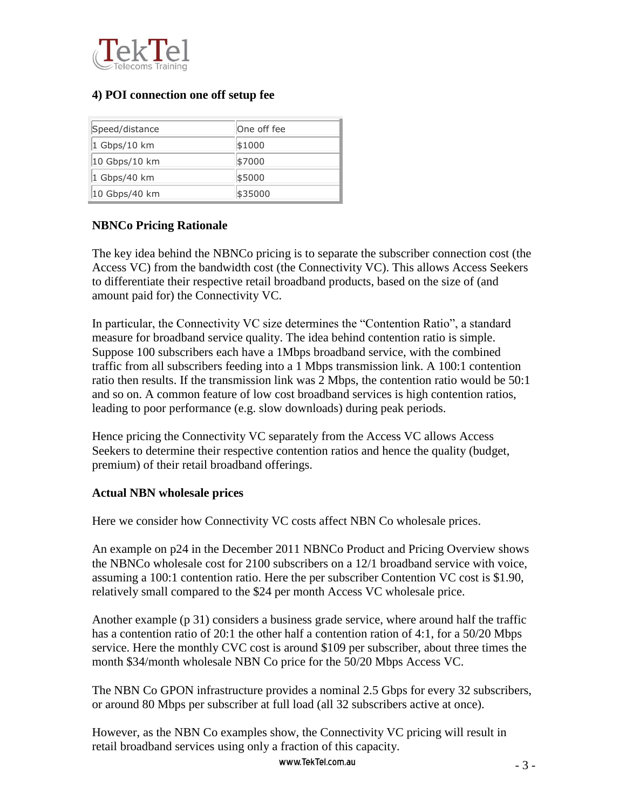

## **4) POI connection one off setup fee**

| Speed/distance | One off fee |
|----------------|-------------|
| 1 Gbps/10 km   | \$1000      |
| 10 Gbps/10 km  | \$7000      |
| 1 Gbps/40 km   | \$5000      |
| 10 Gbps/40 km  | \$35000     |

## **NBNCo Pricing Rationale**

The key idea behind the NBNCo pricing is to separate the subscriber connection cost (the Access VC) from the bandwidth cost (the Connectivity VC). This allows Access Seekers to differentiate their respective retail broadband products, based on the size of (and amount paid for) the Connectivity VC.

In particular, the Connectivity VC size determines the "Contention Ratio", a standard measure for broadband service quality. The idea behind contention ratio is simple. Suppose 100 subscribers each have a 1Mbps broadband service, with the combined traffic from all subscribers feeding into a 1 Mbps transmission link. A 100:1 contention ratio then results. If the transmission link was 2 Mbps, the contention ratio would be 50:1 and so on. A common feature of low cost broadband services is high contention ratios, leading to poor performance (e.g. slow downloads) during peak periods.

Hence pricing the Connectivity VC separately from the Access VC allows Access Seekers to determine their respective contention ratios and hence the quality (budget, premium) of their retail broadband offerings.

### **Actual NBN wholesale prices**

Here we consider how Connectivity VC costs affect NBN Co wholesale prices.

An example on p24 in the December 2011 NBNCo Product and Pricing Overview shows the NBNCo wholesale cost for 2100 subscribers on a 12/1 broadband service with voice, assuming a 100:1 contention ratio. Here the per subscriber Contention VC cost is \$1.90, relatively small compared to the \$24 per month Access VC wholesale price.

Another example (p 31) considers a business grade service, where around half the traffic has a contention ratio of 20:1 the other half a contention ration of 4:1, for a 50/20 Mbps service. Here the monthly CVC cost is around \$109 per subscriber, about three times the month \$34/month wholesale NBN Co price for the 50/20 Mbps Access VC.

The NBN Co GPON infrastructure provides a nominal 2.5 Gbps for every 32 subscribers, or around 80 Mbps per subscriber at full load (all 32 subscribers active at once).

However, as the NBN Co examples show, the Connectivity VC pricing will result in retail broadband services using only a fraction of this capacity.

www.TekTel.com.au  $-3$  –